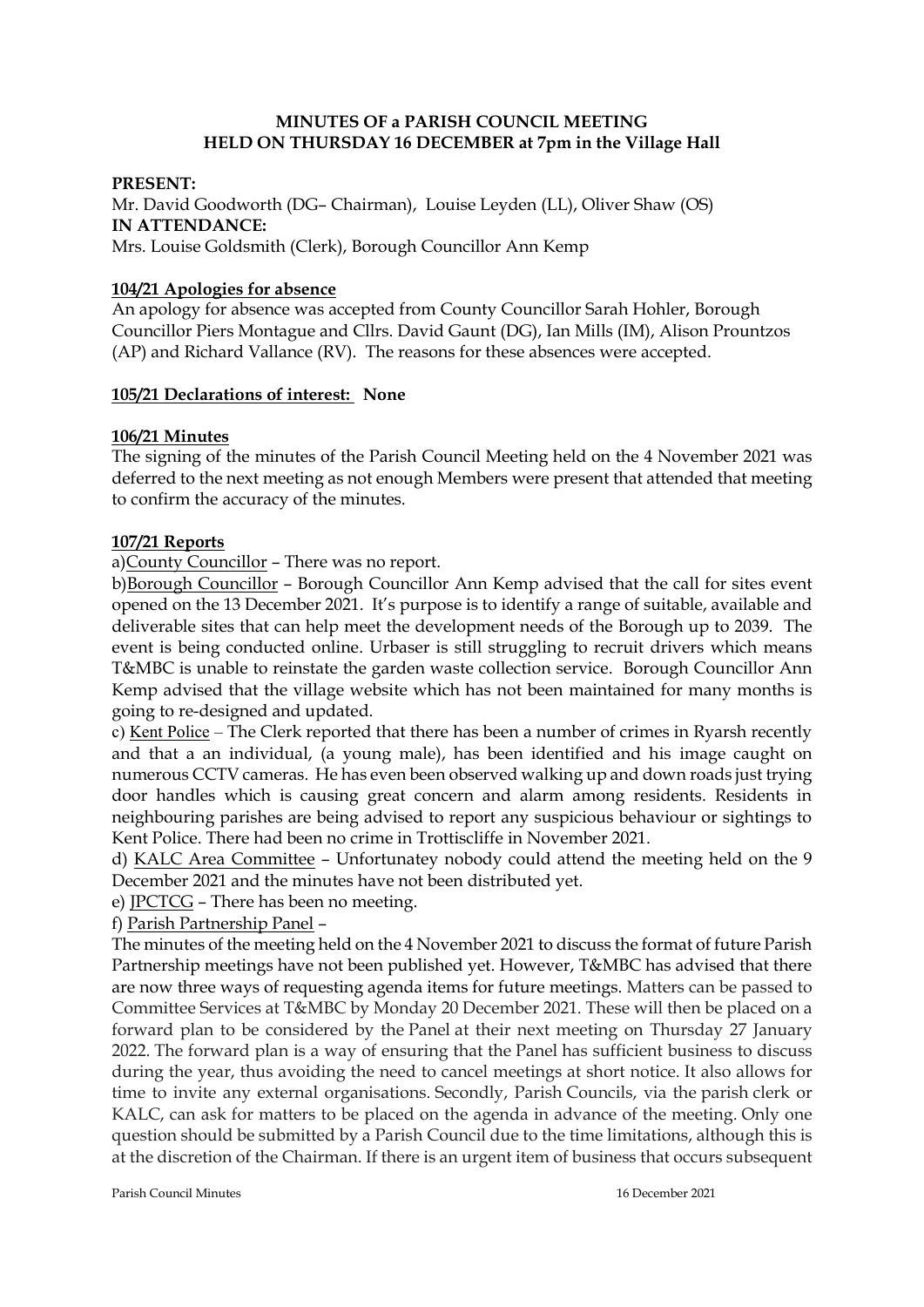# **MINUTES OF a PARISH COUNCIL MEETING HELD ON THURSDAY 16 DECEMBER at 7pm in the Village Hall**

### **PRESENT:**

Mr. David Goodworth (DG– Chairman), Louise Leyden (LL), Oliver Shaw (OS) **IN ATTENDANCE:**  Mrs. Louise Goldsmith (Clerk), Borough Councillor Ann Kemp

### **104/21 Apologies for absence**

An apology for absence was accepted from County Councillor Sarah Hohler, Borough Councillor Piers Montague and Cllrs. David Gaunt (DG), Ian Mills (IM), Alison Prountzos (AP) and Richard Vallance (RV). The reasons for these absences were accepted.

### **105/21 Declarations of interest: None**

# **106/21 Minutes**

The signing of the minutes of the Parish Council Meeting held on the 4 November 2021 was deferred to the next meeting as not enough Members were present that attended that meeting to confirm the accuracy of the minutes.

### **107/21 Reports**

a)County Councillor – There was no report.

b)Borough Councillor – Borough Councillor Ann Kemp advised that the call for sites event opened on the 13 December 2021. It's purpose is to identify a range of suitable, available and deliverable sites that can help meet the development needs of the Borough up to 2039. The event is being conducted online. Urbaser is still struggling to recruit drivers which means T&MBC is unable to reinstate the garden waste collection service. Borough Councillor Ann Kemp advised that the village website which has not been maintained for many months is going to re-designed and updated.

c) Kent Police – The Clerk reported that there has been a number of crimes in Ryarsh recently and that a an individual, (a young male), has been identified and his image caught on numerous CCTV cameras. He has even been observed walking up and down roads just trying door handles which is causing great concern and alarm among residents. Residents in neighbouring parishes are being advised to report any suspicious behaviour or sightings to Kent Police. There had been no crime in Trottiscliffe in November 2021.

d) KALC Area Committee – Unfortunatey nobody could attend the meeting held on the 9 December 2021 and the minutes have not been distributed yet.

e) JPCTCG – There has been no meeting.

f) Parish Partnership Panel –

The minutes of the meeting held on the 4 November 2021 to discuss the format of future Parish Partnership meetings have not been published yet. However, T&MBC has advised that there are now three ways of requesting agenda items for future meetings. Matters can be passed to Committee Services at T&MBC by Monday 20 December 2021. These will then be placed on a forward plan to be considered by the Panel at their next meeting on Thursday 27 January 2022. The forward plan is a way of ensuring that the Panel has sufficient business to discuss during the year, thus avoiding the need to cancel meetings at short notice. It also allows for time to invite any external organisations. Secondly, Parish Councils, via the parish clerk or KALC, can ask for matters to be placed on the agenda in advance of the meeting. Only one question should be submitted by a Parish Council due to the time limitations, although this is at the discretion of the Chairman. If there is an urgent item of business that occurs subsequent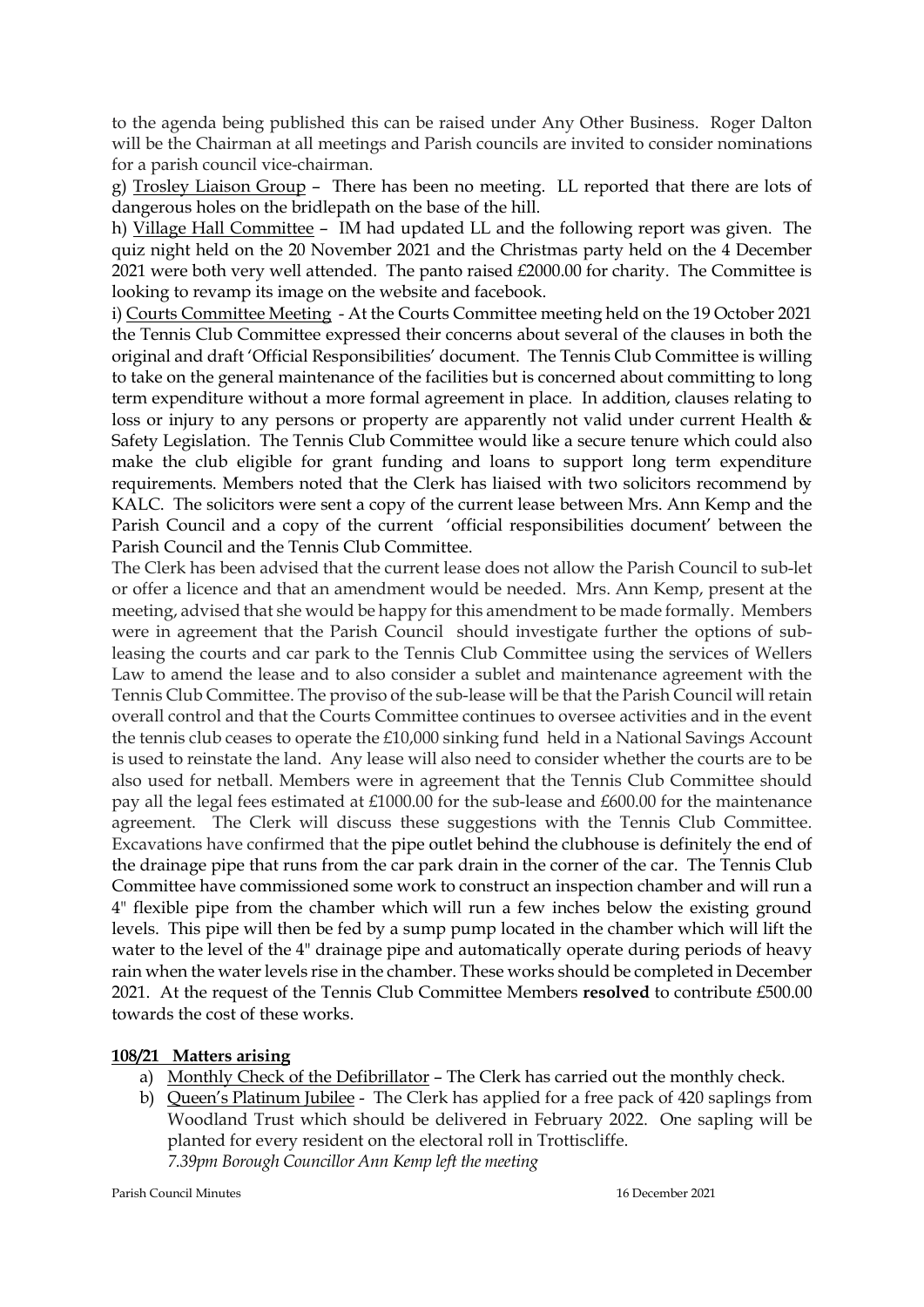to the agenda being published this can be raised under Any Other Business. Roger Dalton will be the Chairman at all meetings and Parish councils are invited to consider nominations for a parish council vice-chairman.

g) Trosley Liaison Group – There has been no meeting. LL reported that there are lots of dangerous holes on the bridlepath on the base of the hill.

h) Village Hall Committee – IM had updated LL and the following report was given. The quiz night held on the 20 November 2021 and the Christmas party held on the 4 December 2021 were both very well attended. The panto raised £2000.00 for charity. The Committee is looking to revamp its image on the website and facebook.

i) Courts Committee Meeting - At the Courts Committee meeting held on the 19 October 2021 the Tennis Club Committee expressed their concerns about several of the clauses in both the original and draft 'Official Responsibilities' document. The Tennis Club Committee is willing to take on the general maintenance of the facilities but is concerned about committing to long term expenditure without a more formal agreement in place. In addition, clauses relating to loss or injury to any persons or property are apparently not valid under current Health & Safety Legislation. The Tennis Club Committee would like a secure tenure which could also make the club eligible for grant funding and loans to support long term expenditure requirements. Members noted that the Clerk has liaised with two solicitors recommend by KALC. The solicitors were sent a copy of the current lease between Mrs. Ann Kemp and the Parish Council and a copy of the current 'official responsibilities document' between the Parish Council and the Tennis Club Committee.

The Clerk has been advised that the current lease does not allow the Parish Council to sub-let or offer a licence and that an amendment would be needed. Mrs. Ann Kemp, present at the meeting, advised that she would be happy for this amendment to be made formally. Members were in agreement that the Parish Council should investigate further the options of subleasing the courts and car park to the Tennis Club Committee using the services of Wellers Law to amend the lease and to also consider a sublet and maintenance agreement with the Tennis Club Committee. The proviso of the sub-lease will be that the Parish Council will retain overall control and that the Courts Committee continues to oversee activities and in the event the tennis club ceases to operate the £10,000 sinking fund held in a National Savings Account is used to reinstate the land. Any lease will also need to consider whether the courts are to be also used for netball. Members were in agreement that the Tennis Club Committee should pay all the legal fees estimated at £1000.00 for the sub-lease and £600.00 for the maintenance agreement. The Clerk will discuss these suggestions with the Tennis Club Committee. Excavations have confirmed that the pipe outlet behind the clubhouse is definitely the end of the drainage pipe that runs from the car park drain in the corner of the car. The Tennis Club Committee have commissioned some work to construct an inspection chamber and will run a 4" flexible pipe from the chamber which will run a few inches below the existing ground levels. This pipe will then be fed by a sump pump located in the chamber which will lift the water to the level of the 4" drainage pipe and automatically operate during periods of heavy rain when the water levels rise in the chamber. These works should be completed in December 2021. At the request of the Tennis Club Committee Members **resolved** to contribute £500.00 towards the cost of these works.

# **108/21 Matters arising**

- a) Monthly Check of the Defibrillator The Clerk has carried out the monthly check.
- b) Queen's Platinum Jubilee The Clerk has applied for a free pack of 420 saplings from Woodland Trust which should be delivered in February 2022. One sapling will be planted for every resident on the electoral roll in Trottiscliffe. *7.39pm Borough Councillor Ann Kemp left the meeting*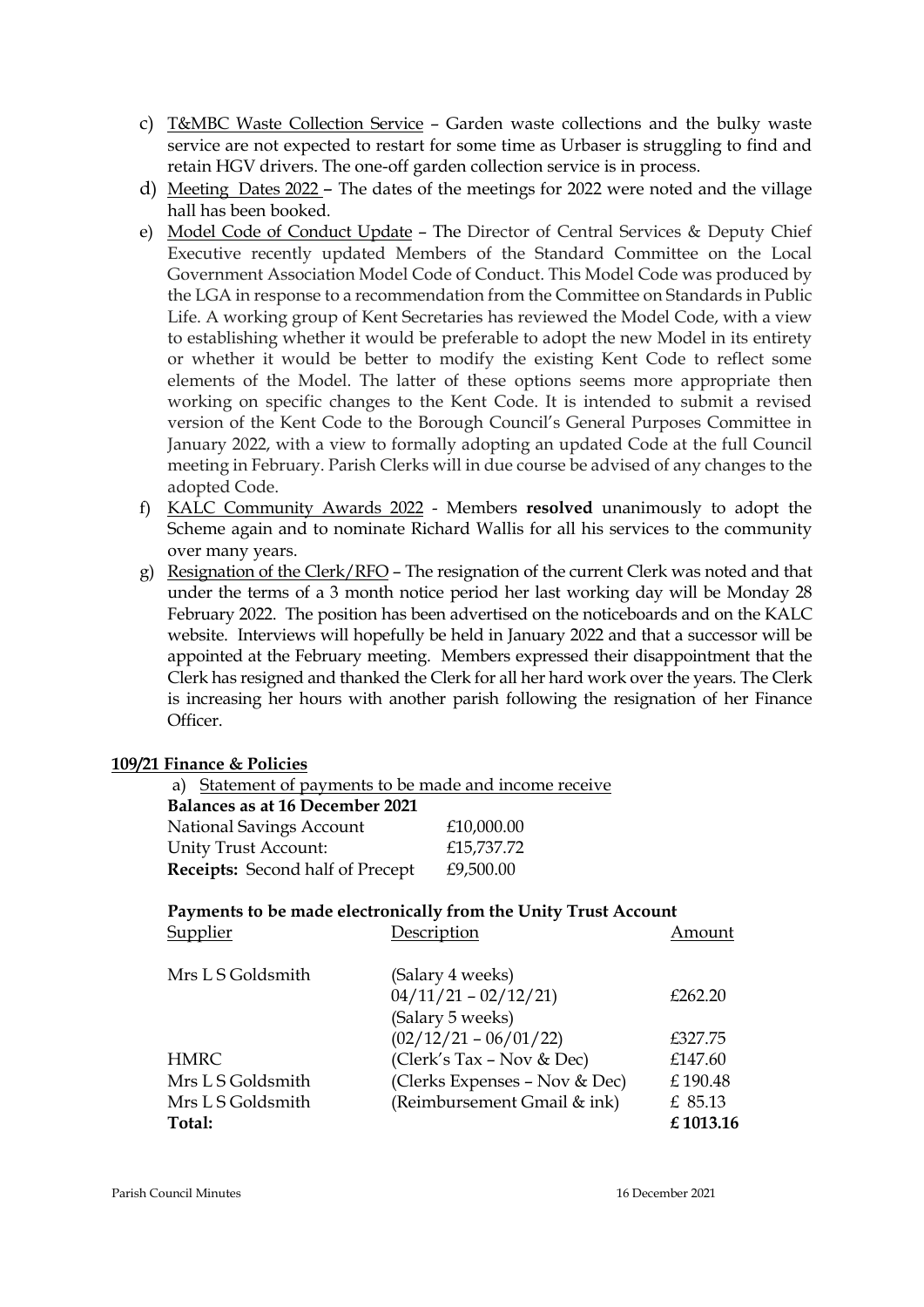- c) T&MBC Waste Collection Service Garden waste collections and the bulky waste service are not expected to restart for some time as Urbaser is struggling to find and retain HGV drivers. The one-off garden collection service is in process.
- d) Meeting Dates 2022 The dates of the meetings for 2022 were noted and the village hall has been booked.
- e) Model Code of Conduct Update The Director of Central Services & Deputy Chief Executive recently updated Members of the Standard Committee on the Local Government Association Model Code of Conduct. This Model Code was produced by the LGA in response to a recommendation from the Committee on Standards in Public Life. A working group of Kent Secretaries has reviewed the Model Code, with a view to establishing whether it would be preferable to adopt the new Model in its entirety or whether it would be better to modify the existing Kent Code to reflect some elements of the Model. The latter of these options seems more appropriate then working on specific changes to the Kent Code. It is intended to submit a revised version of the Kent Code to the Borough Council's General Purposes Committee in January 2022, with a view to formally adopting an updated Code at the full Council meeting in February. Parish Clerks will in due course be advised of any changes to the adopted Code.
- f) KALC Community Awards 2022 Members **resolved** unanimously to adopt the Scheme again and to nominate Richard Wallis for all his services to the community over many years.
- g) Resignation of the Clerk/RFO The resignation of the current Clerk was noted and that under the terms of a 3 month notice period her last working day will be Monday 28 February 2022. The position has been advertised on the noticeboards and on the KALC website. Interviews will hopefully be held in January 2022 and that a successor will be appointed at the February meeting. Members expressed their disappointment that the Clerk has resigned and thanked the Clerk for all her hard work over the years. The Clerk is increasing her hours with another parish following the resignation of her Finance Officer.

### **109/21 Finance & Policies**

a) Statement of payments to be made and income receive  **Balances as at 16 December 2021**  National Savings Account £10,000.00 Unity Trust Account: £15,737.72 **Receipts:** Second half of Precept £9,500.00

#### **Payments to be made electronically from the Unity Trust Account**  Supplier Description Amount

| Mrs L S Goldsmith | (Salary 4 weeks)              |          |
|-------------------|-------------------------------|----------|
|                   | $04/11/21 - 02/12/21$         | £262.20  |
|                   | (Salary 5 weeks)              |          |
|                   | $(02/12/21 - 06/01/22)$       | £327.75  |
| <b>HMRC</b>       | (Clerk's Tax - Nov & Dec)     | £147.60  |
| Mrs L S Goldsmith | (Clerks Expenses - Nov & Dec) | £190.48  |
| Mrs L S Goldsmith | (Reimbursement Gmail & ink)   | £ 85.13  |
| Total:            |                               | £1013.16 |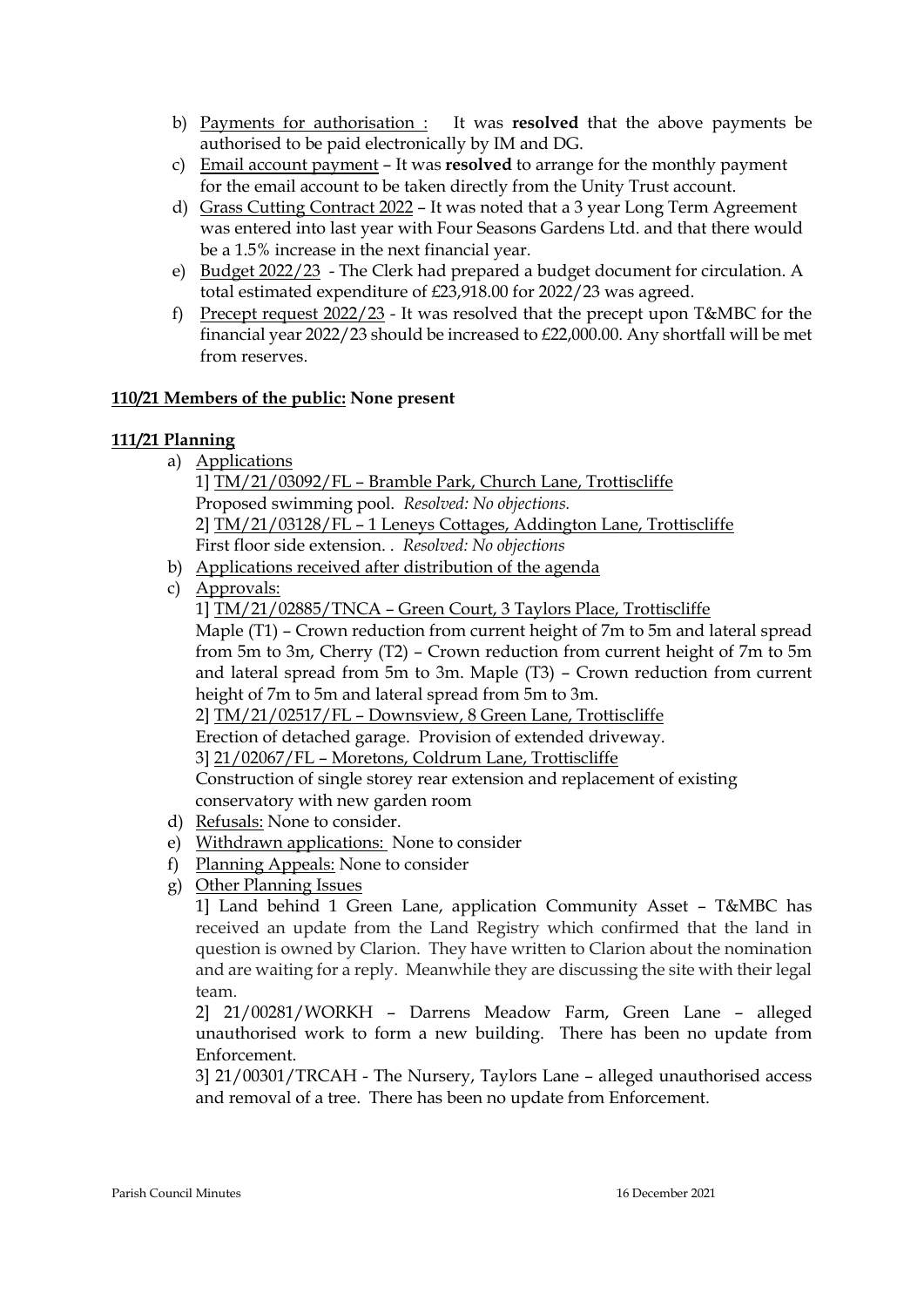- b) Payments for authorisation : It was **resolved** that the above payments be authorised to be paid electronically by IM and DG.
- c) Email account payment It was **resolved** to arrange for the monthly payment for the email account to be taken directly from the Unity Trust account.
- d) Grass Cutting Contract 2022 It was noted that a 3 year Long Term Agreement was entered into last year with Four Seasons Gardens Ltd. and that there would be a 1.5% increase in the next financial year.
- e) Budget 2022/23 The Clerk had prepared a budget document for circulation. A total estimated expenditure of £23,918.00 for 2022/23 was agreed.
- f) Precept request 2022/23 It was resolved that the precept upon T&MBC for the financial year 2022/23 should be increased to £22,000.00. Any shortfall will be met from reserves.

# **110/21 Members of the public: None present**

# **111/21 Planning**

- a) Applications 1] TM/21/03092/FL – Bramble Park, Church Lane, Trottiscliffe Proposed swimming pool. *Resolved: No objections.* 2] TM/21/03128/FL – 1 Leneys Cottages, Addington Lane, Trottiscliffe First floor side extension. . *Resolved: No objections*
- b) Applications received after distribution of the agenda
- c) Approvals:
	- 1] TM/21/02885/TNCA Green Court, 3 Taylors Place, Trottiscliffe

Maple (T1) – Crown reduction from current height of 7m to 5m and lateral spread from 5m to 3m, Cherry (T2) – Crown reduction from current height of 7m to 5m and lateral spread from 5m to 3m. Maple (T3) – Crown reduction from current height of 7m to 5m and lateral spread from 5m to 3m.

2] TM/21/02517/FL – Downsview, 8 Green Lane, Trottiscliffe

Erection of detached garage. Provision of extended driveway.

3] 21/02067/FL – Moretons, Coldrum Lane, Trottiscliffe

Construction of single storey rear extension and replacement of existing conservatory with new garden room

- d) Refusals: None to consider.
- e) Withdrawn applications: None to consider
- f) Planning Appeals: None to consider
- g) Other Planning Issues

1] Land behind 1 Green Lane, application Community Asset – T&MBC has received an update from the Land Registry which confirmed that the land in question is owned by Clarion. They have written to Clarion about the nomination and are waiting for a reply. Meanwhile they are discussing the site with their legal team.

2] 21/00281/WORKH – Darrens Meadow Farm, Green Lane – alleged unauthorised work to form a new building. There has been no update from Enforcement.

3] 21/00301/TRCAH - The Nursery, Taylors Lane – alleged unauthorised access and removal of a tree. There has been no update from Enforcement.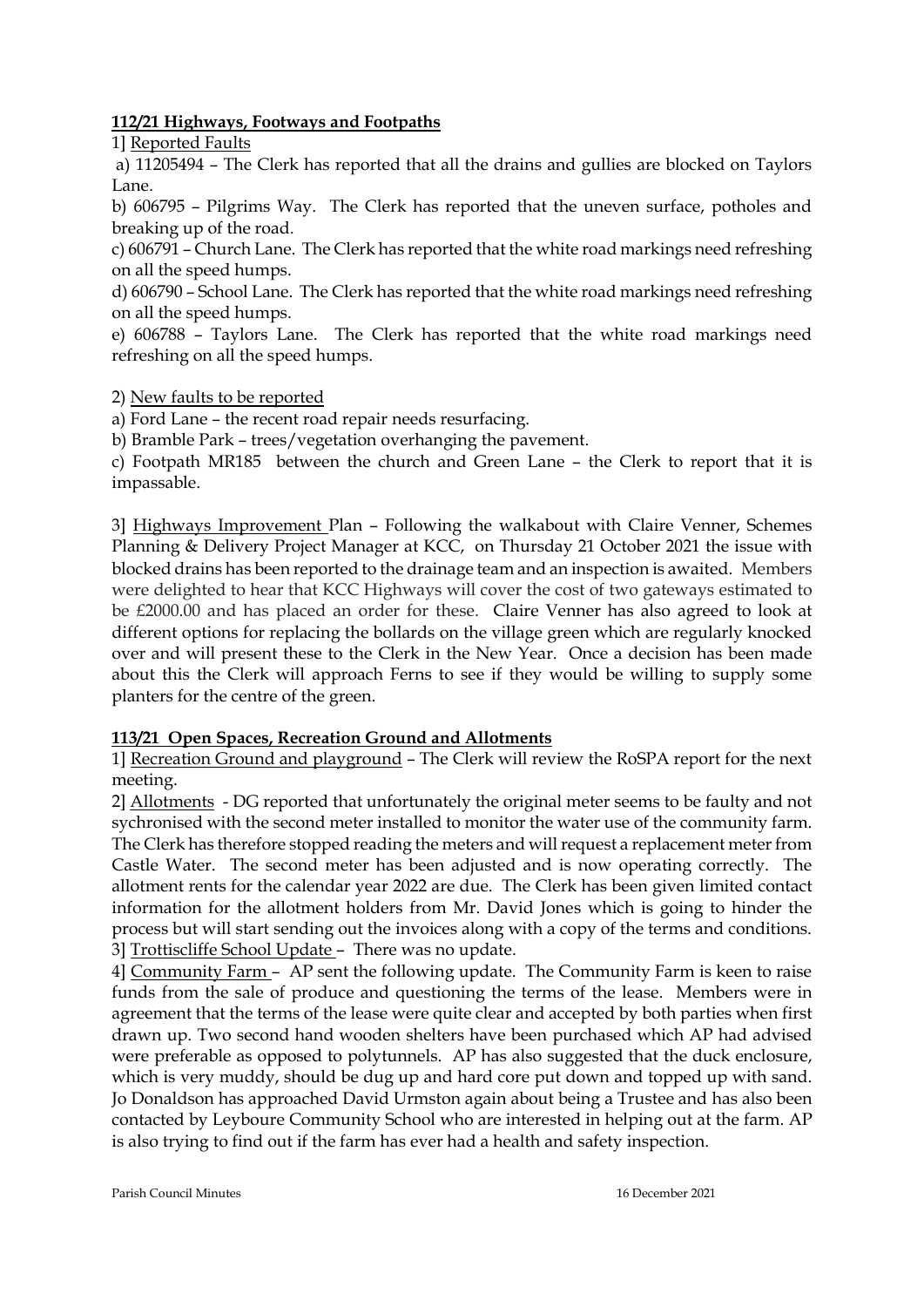### **112/21 Highways, Footways and Footpaths**

1] Reported Faults

a) 11205494 – The Clerk has reported that all the drains and gullies are blocked on Taylors Lane.

b) 606795 – Pilgrims Way. The Clerk has reported that the uneven surface, potholes and breaking up of the road.

c) 606791 – Church Lane. The Clerk has reported that the white road markings need refreshing on all the speed humps.

d) 606790 – School Lane. The Clerk has reported that the white road markings need refreshing on all the speed humps.

e) 606788 – Taylors Lane. The Clerk has reported that the white road markings need refreshing on all the speed humps.

2) New faults to be reported

a) Ford Lane – the recent road repair needs resurfacing.

b) Bramble Park – trees/vegetation overhanging the pavement.

c) Footpath MR185 between the church and Green Lane – the Clerk to report that it is impassable.

3] Highways Improvement Plan – Following the walkabout with Claire Venner, Schemes Planning & Delivery Project Manager at KCC, on Thursday 21 October 2021 the issue with blocked drains has been reported to the drainage team and an inspection is awaited. Members were delighted to hear that KCC Highways will cover the cost of two gateways estimated to be £2000.00 and has placed an order for these. Claire Venner has also agreed to look at different options for replacing the bollards on the village green which are regularly knocked over and will present these to the Clerk in the New Year. Once a decision has been made about this the Clerk will approach Ferns to see if they would be willing to supply some planters for the centre of the green.

# **113/21 Open Spaces, Recreation Ground and Allotments**

1] Recreation Ground and playground – The Clerk will review the RoSPA report for the next meeting.

2] Allotments - DG reported that unfortunately the original meter seems to be faulty and not sychronised with the second meter installed to monitor the water use of the community farm. The Clerk has therefore stopped reading the meters and will request a replacement meter from Castle Water. The second meter has been adjusted and is now operating correctly. The allotment rents for the calendar year 2022 are due. The Clerk has been given limited contact information for the allotment holders from Mr. David Jones which is going to hinder the process but will start sending out the invoices along with a copy of the terms and conditions. 3] Trottiscliffe School Update – There was no update.

4] Community Farm – AP sent the following update. The Community Farm is keen to raise funds from the sale of produce and questioning the terms of the lease. Members were in agreement that the terms of the lease were quite clear and accepted by both parties when first drawn up. Two second hand wooden shelters have been purchased which AP had advised were preferable as opposed to polytunnels. AP has also suggested that the duck enclosure, which is very muddy, should be dug up and hard core put down and topped up with sand. Jo Donaldson has approached David Urmston again about being a Trustee and has also been contacted by Leyboure Community School who are interested in helping out at the farm. AP is also trying to find out if the farm has ever had a health and safety inspection.